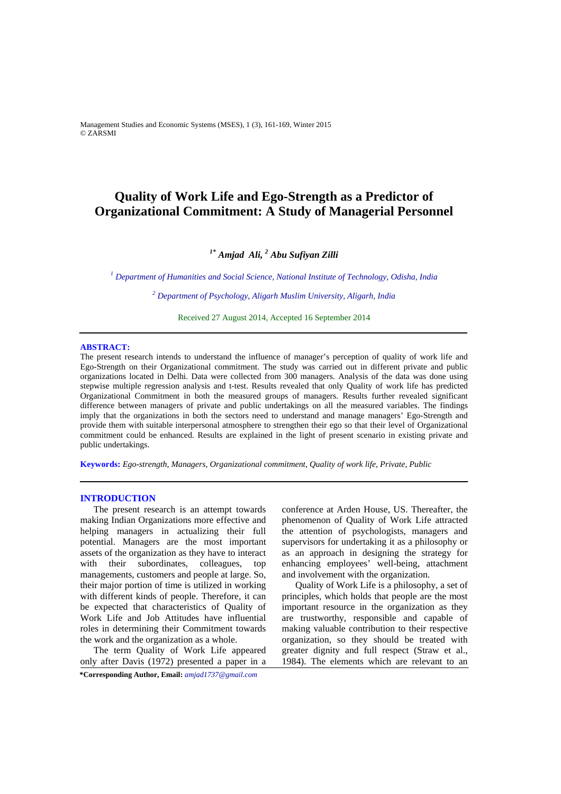Management Studies and Economic Systems (MSES), 1 (3), 161-169, Winter 2015 © ZARSMI

# **Quality of Work Life and Ego-Strength as a Predictor of Organizational Commitment: A Study of Managerial Personnel**

## *1\* Amjad Ali, 2 Abu Sufiyan Zilli*

<sup>1</sup> Department of Humanities and Social Science, National Institute of Technology, Odisha, India

*2 Department of Psychology, Aligarh Muslim University, Aligarh, India*

Received 27 August 2014, Accepted 16 September 2014 

## **ABSTRACT:**

The present research intends to understand the influence of manager's perception of quality of work life and Ego-Strength on their Organizational commitment. The study was carried out in different private and public organizations located in Delhi. Data were collected from 300 managers. Analysis of the data was done using stepwise multiple regression analysis and t-test. Results revealed that only Quality of work life has predicted Organizational Commitment in both the measured groups of managers. Results further revealed significant difference between managers of private and public undertakings on all the measured variables. The findings imply that the organizations in both the sectors need to understand and manage managers' Ego-Strength and provide them with suitable interpersonal atmosphere to strengthen their ego so that their level of Organizational commitment could be enhanced. Results are explained in the light of present scenario in existing private and public undertakings.

**Keywords:** *Ego-strength, Managers, Organizational commitment, Quality of work life, Private, Public* 

## **INTRODUCTION**

The present research is an attempt towards making Indian Organizations more effective and helping managers in actualizing their full potential. Managers are the most important assets of the organization as they have to interact with their subordinates, colleagues, top managements, customers and people at large. So, their major portion of time is utilized in working with different kinds of people. Therefore, it can be expected that characteristics of Quality of Work Life and Job Attitudes have influential roles in determining their Commitment towards the work and the organization as a whole.

The term Quality of Work Life appeared only after Davis (1972) presented a paper in a

**\*Corresponding Author, Email:** *amjad1737@gmail.com*

conference at Arden House, US. Thereafter, the phenomenon of Quality of Work Life attracted the attention of psychologists, managers and supervisors for undertaking it as a philosophy or as an approach in designing the strategy for enhancing employees' well-being, attachment and involvement with the organization.

Quality of Work Life is a philosophy, a set of principles, which holds that people are the most important resource in the organization as they are trustworthy, responsible and capable of making valuable contribution to their respective organization, so they should be treated with greater dignity and full respect (Straw et al., 1984). The elements which are relevant to an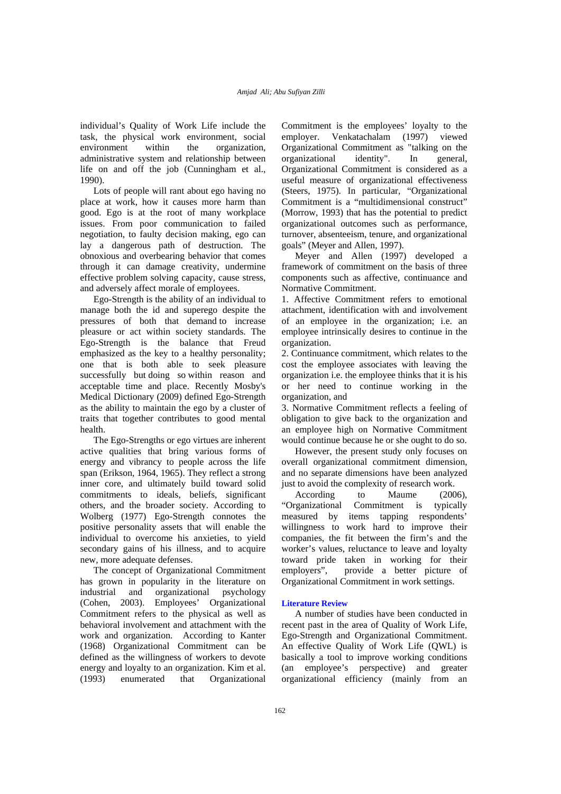individual's Quality of Work Life include the task, the physical work environment, social environment within the organization, administrative system and relationship between life on and off the job (Cunningham et al., 1990).

Lots of people will rant about ego having no place at work, how it causes more harm than good. Ego is at the root of many workplace issues. From poor communication to failed negotiation, to faulty decision making, ego can lay a dangerous path of destruction. The obnoxious and overbearing behavior that comes through it can damage creativity, undermine effective problem solving capacity, cause stress, and adversely affect morale of employees.

Ego-Strength is the ability of an individual to manage both the id and superego despite the pressures of both that demand to increase pleasure or act within society standards. The Ego-Strength is the balance that Freud emphasized as the key to a healthy personality; one that is both able to seek pleasure successfully but doing so within reason and acceptable time and place. Recently Mosby's Medical Dictionary (2009) defined Ego-Strength as the ability to maintain the ego by a cluster of traits that together contributes to good mental health.

The Ego-Strengths or ego virtues are inherent active qualities that bring various forms of energy and vibrancy to people across the life span (Erikson, 1964, 1965). They reflect a strong inner core, and ultimately build toward solid commitments to ideals, beliefs, significant others, and the broader society. According to Wolberg (1977) Ego-Strength connotes the positive personality assets that will enable the individual to overcome his anxieties, to yield secondary gains of his illness, and to acquire new, more adequate defenses.

The concept of Organizational Commitment has grown in popularity in the literature on industrial and organizational psychology (Cohen, 2003). Employees' Organizational Commitment refers to the physical as well as behavioral involvement and attachment with the work and organization. According to Kanter (1968) Organizational Commitment can be defined as the willingness of workers to devote energy and loyalty to an organization. Kim et al. (1993) enumerated that Organizational

Commitment is the employees' loyalty to the employer. Venkatachalam (1997) viewed Organizational Commitment as "talking on the organizational identity". In general, Organizational Commitment is considered as a useful measure of organizational effectiveness (Steers, 1975). In particular, "Organizational Commitment is a "multidimensional construct" (Morrow, 1993) that has the potential to predict organizational outcomes such as performance, turnover, absenteeism, tenure, and organizational goals" (Meyer and Allen, 1997).

Meyer and Allen (1997) developed a framework of commitment on the basis of three components such as affective, continuance and Normative Commitment.

1. Affective Commitment refers to emotional attachment, identification with and involvement of an employee in the organization; i.e. an employee intrinsically desires to continue in the organization.

2. Continuance commitment, which relates to the cost the employee associates with leaving the organization i.e. the employee thinks that it is his or her need to continue working in the organization, and

3. Normative Commitment reflects a feeling of obligation to give back to the organization and an employee high on Normative Commitment would continue because he or she ought to do so.

However, the present study only focuses on overall organizational commitment dimension, and no separate dimensions have been analyzed just to avoid the complexity of research work.

According to Maume (2006), "Organizational Commitment is typically measured by items tapping respondents' willingness to work hard to improve their companies, the fit between the firm's and the worker's values, reluctance to leave and loyalty toward pride taken in working for their employers", provide a better picture of Organizational Commitment in work settings.

## **Literature Review**

A number of studies have been conducted in recent past in the area of Quality of Work Life, Ego-Strength and Organizational Commitment. An effective Quality of Work Life (QWL) is basically a tool to improve working conditions (an employee's perspective) and greater organizational efficiency (mainly from an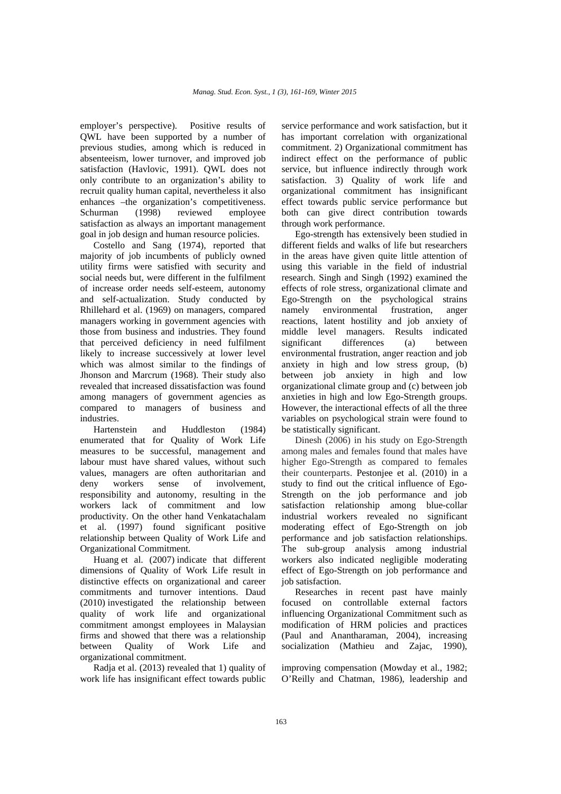employer's perspective). Positive results of QWL have been supported by a number of previous studies, among which is reduced in absenteeism, lower turnover, and improved job satisfaction (Havlovic, 1991). QWL does not only contribute to an organization's ability to recruit quality human capital, nevertheless it also enhances –the organization's competitiveness. Schurman (1998) reviewed employee satisfaction as always an important management goal in job design and human resource policies.

Costello and Sang (1974), reported that majority of job incumbents of publicly owned utility firms were satisfied with security and social needs but, were different in the fulfilment of increase order needs self-esteem, autonomy and self-actualization. Study conducted by Rhillehard et al. (1969) on managers, compared managers working in government agencies with those from business and industries. They found that perceived deficiency in need fulfilment likely to increase successively at lower level which was almost similar to the findings of Jhonson and Marcrum (1968). Their study also revealed that increased dissatisfaction was found among managers of government agencies as compared to managers of business and industries.

Hartenstein and Huddleston (1984) enumerated that for Quality of Work Life measures to be successful, management and labour must have shared values, without such values, managers are often authoritarian and deny workers sense of involvement, responsibility and autonomy, resulting in the workers lack of commitment and low productivity. On the other hand Venkatachalam et al. (1997) found significant positive relationship between Quality of Work Life and Organizational Commitment.

Huang et al. (2007) indicate that different dimensions of Quality of Work Life result in distinctive effects on organizational and career commitments and turnover intentions. Daud (2010) investigated the relationship between quality of work life and organizational commitment amongst employees in Malaysian firms and showed that there was a relationship between Quality of Work Life and organizational commitment.

Radja et al. (2013) revealed that 1) quality of work life has insignificant effect towards public service performance and work satisfaction, but it has important correlation with organizational commitment. 2) Organizational commitment has indirect effect on the performance of public service, but influence indirectly through work satisfaction. 3) Quality of work life and organizational commitment has insignificant effect towards public service performance but both can give direct contribution towards through work performance.

Ego-strength has extensively been studied in different fields and walks of life but researchers in the areas have given quite little attention of using this variable in the field of industrial research. Singh and Singh (1992) examined the effects of role stress, organizational climate and Ego-Strength on the psychological strains namely environmental frustration, anger reactions, latent hostility and job anxiety of middle level managers. Results indicated significant differences (a) between environmental frustration, anger reaction and job anxiety in high and low stress group, (b) between job anxiety in high and low organizational climate group and (c) between job anxieties in high and low Ego-Strength groups. However, the interactional effects of all the three variables on psychological strain were found to be statistically significant.

Dinesh (2006) in his study on Ego-Strength among males and females found that males have higher Ego-Strength as compared to females their counterparts. Pestonjee et al. (2010) in a study to find out the critical influence of Ego-Strength on the job performance and job satisfaction relationship among blue-collar industrial workers revealed no significant moderating effect of Ego-Strength on job performance and job satisfaction relationships. The sub-group analysis among industrial workers also indicated negligible moderating effect of Ego-Strength on job performance and job satisfaction.

Researches in recent past have mainly focused on controllable external factors influencing Organizational Commitment such as modification of HRM policies and practices (Paul and Anantharaman, 2004), increasing socialization (Mathieu and Zajac, 1990),

improving compensation (Mowday et al., 1982; O'Reilly and Chatman, 1986), leadership and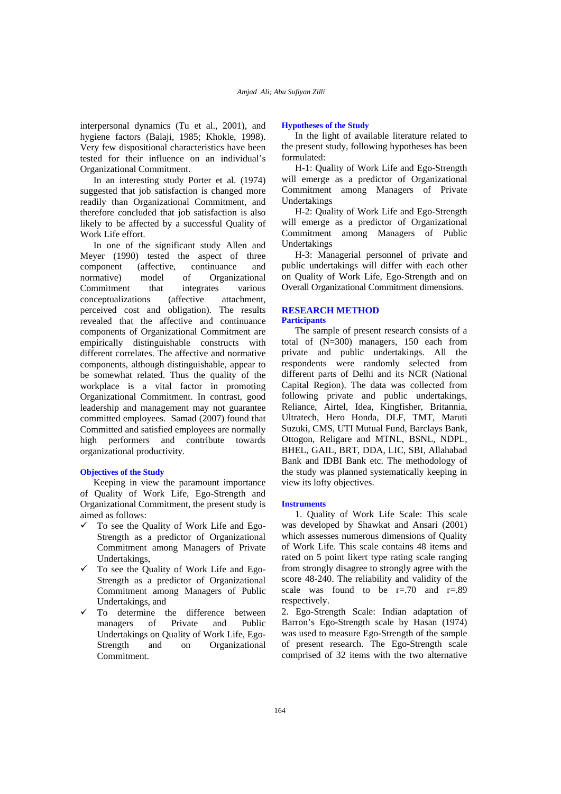interpersonal dynamics (Tu et al., 2001), and hygiene factors (Balaji, 1985; Khokle, 1998). Very few dispositional characteristics have been tested for their influence on an individual's Organizational Commitment.

In an interesting study Porter et al. (1974) suggested that job satisfaction is changed more readily than Organizational Commitment, and therefore concluded that job satisfaction is also likely to be affected by a successful Quality of Work Life effort.

In one of the significant study Allen and Meyer (1990) tested the aspect of three component (affective, continuance and normative) model of Organizational Commitment that integrates various conceptualizations (affective attachment, perceived cost and obligation). The results revealed that the affective and continuance components of Organizational Commitment are empirically distinguishable constructs with different correlates. The affective and normative components, although distinguishable, appear to be somewhat related. Thus the quality of the workplace is a vital factor in promoting Organizational Commitment. In contrast, good leadership and management may not guarantee committed employees. Samad (2007) found that Committed and satisfied employees are normally high performers and contribute towards organizational productivity.

## **Objectives of the Study**

Keeping in view the paramount importance of Quality of Work Life, Ego-Strength and Organizational Commitment, the present study is aimed as follows:

- $\checkmark$  To see the Quality of Work Life and Ego-Strength as a predictor of Organizational Commitment among Managers of Private Undertakings,
- To see the Quality of Work Life and Ego-Strength as a predictor of Organizational Commitment among Managers of Public Undertakings, and
- To determine the difference between managers of Private and Public Undertakings on Quality of Work Life, Ego-Strength and on Organizational Commitment.

## **Hypotheses of the Study**

In the light of available literature related to the present study, following hypotheses has been formulated:

H-1: Quality of Work Life and Ego-Strength will emerge as a predictor of Organizational Commitment among Managers of Private Undertakings

H-2: Quality of Work Life and Ego-Strength will emerge as a predictor of Organizational Commitment among Managers of Public Undertakings

H-3: Managerial personnel of private and public undertakings will differ with each other on Quality of Work Life, Ego-Strength and on Overall Organizational Commitment dimensions.

## **RESEARCH METHOD Participants**

The sample of present research consists of a total of (N=300) managers, 150 each from private and public undertakings. All the respondents were randomly selected from different parts of Delhi and its NCR (National Capital Region). The data was collected from following private and public undertakings, Reliance, Airtel, Idea, Kingfisher, Britannia, Ultratech, Hero Honda, DLF, TMT, Maruti Suzuki, CMS, UTI Mutual Fund, Barclays Bank, Ottogon, Religare and MTNL, BSNL, NDPL, BHEL, GAIL, BRT, DDA, LIC, SBI, Allahabad Bank and IDBI Bank etc. The methodology of the study was planned systematically keeping in view its lofty objectives.

#### **Instruments**

1. Quality of Work Life Scale: This scale was developed by Shawkat and Ansari (2001) which assesses numerous dimensions of Quality of Work Life. This scale contains 48 items and rated on 5 point likert type rating scale ranging from strongly disagree to strongly agree with the score 48-240. The reliability and validity of the scale was found to be  $r=.70$  and  $r=.89$ respectively.

2. Ego-Strength Scale: Indian adaptation of Barron's Ego-Strength scale by Hasan (1974) was used to measure Ego-Strength of the sample of present research. The Ego-Strength scale comprised of 32 items with the two alternative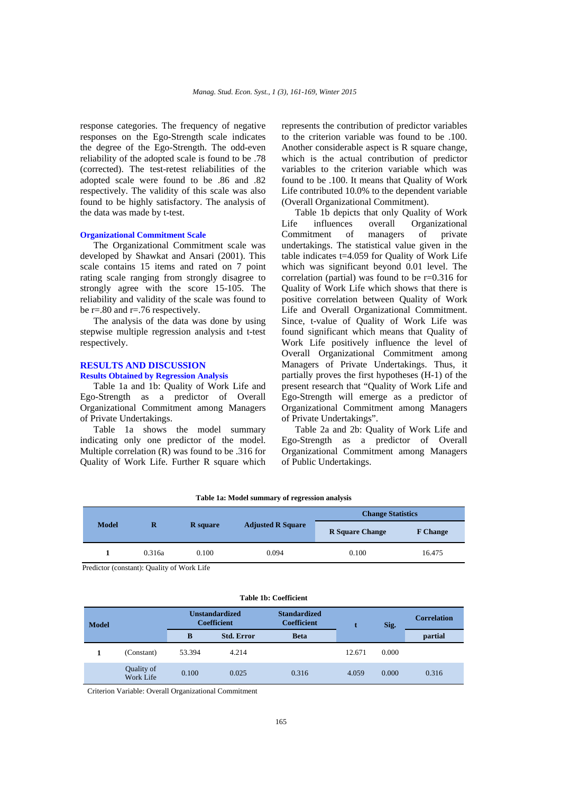response categories. The frequency of negative responses on the Ego-Strength scale indicates the degree of the Ego-Strength. The odd-even reliability of the adopted scale is found to be .78 (corrected). The test-retest reliabilities of the adopted scale were found to be .86 and .82 respectively. The validity of this scale was also found to be highly satisfactory. The analysis of the data was made by t-test.

## **Organizational Commitment Scale**

The Organizational Commitment scale was developed by Shawkat and Ansari (2001). This scale contains 15 items and rated on 7 point rating scale ranging from strongly disagree to strongly agree with the score 15-105. The reliability and validity of the scale was found to be r=.80 and r=.76 respectively.

The analysis of the data was done by using stepwise multiple regression analysis and t-test respectively.

## **RESULTS AND DISCUSSION Results Obtained by Regression Analysis**

Table 1a and 1b: Quality of Work Life and Ego-Strength as a predictor of Overall Organizational Commitment among Managers of Private Undertakings.

Table 1a shows the model summary indicating only one predictor of the model. Multiple correlation (R) was found to be .316 for Quality of Work Life. Further R square which

represents the contribution of predictor variables to the criterion variable was found to be .100. Another considerable aspect is R square change, which is the actual contribution of predictor variables to the criterion variable which was found to be .100. It means that Quality of Work Life contributed 10.0% to the dependent variable (Overall Organizational Commitment).

Table 1b depicts that only Quality of Work Life influences overall Organizational<br>Commitment of managers of private Commitment of managers of private undertakings. The statistical value given in the table indicates t=4.059 for Quality of Work Life which was significant beyond 0.01 level. The correlation (partial) was found to be  $r=0.316$  for Quality of Work Life which shows that there is positive correlation between Quality of Work Life and Overall Organizational Commitment. Since, t-value of Quality of Work Life was found significant which means that Quality of Work Life positively influence the level of Overall Organizational Commitment among Managers of Private Undertakings. Thus, it partially proves the first hypotheses (H-1) of the present research that "Quality of Work Life and Ego-Strength will emerge as a predictor of Organizational Commitment among Managers of Private Undertakings".

Table 2a and 2b: Quality of Work Life and Ego-Strength as a predictor of Overall Organizational Commitment among Managers of Public Undertakings.

| <b>Model</b> |        |                 |                          | <b>Change Statistics</b> |                 |  |
|--------------|--------|-----------------|--------------------------|--------------------------|-----------------|--|
|              | R      | <b>R</b> square | <b>Adjusted R Square</b> | <b>R</b> Square Change   | <b>F</b> Change |  |
|              | 0.316a | 0.100           | 0.094                    | 0.100                    | 16.475          |  |

## **Table 1a: Model summary of regression analysis**

Predictor (constant): Quality of Work Life

|  |  | Table 1b: Coefficient |
|--|--|-----------------------|
|--|--|-----------------------|

| <b>Model</b> |                         | <b>Unstandardized</b><br><b>Coefficient</b> |                   | <b>Standardized</b><br><b>Coefficient</b> |        | Sig.  | <b>Correlation</b> |
|--------------|-------------------------|---------------------------------------------|-------------------|-------------------------------------------|--------|-------|--------------------|
|              |                         | B                                           | <b>Std. Error</b> | <b>Beta</b>                               |        |       | partial            |
|              | (Constant)              | 53.394                                      | 4.214             |                                           | 12.671 | 0.000 |                    |
|              | Quality of<br>Work Life | 0.100                                       | 0.025             | 0.316                                     | 4.059  | 0.000 | 0.316              |

Criterion Variable: Overall Organizational Commitment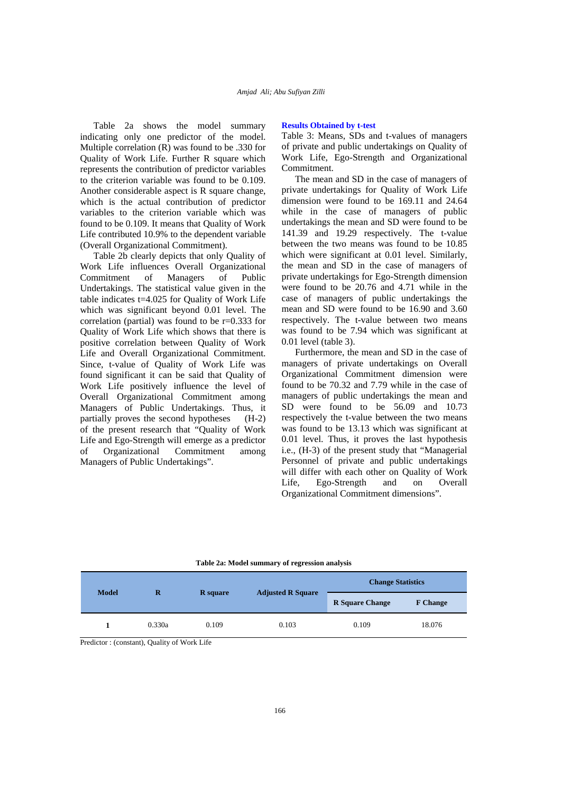Table 2a shows the model summary indicating only one predictor of the model. Multiple correlation (R) was found to be .330 for Quality of Work Life. Further R square which represents the contribution of predictor variables to the criterion variable was found to be 0.109. Another considerable aspect is R square change, which is the actual contribution of predictor variables to the criterion variable which was found to be 0.109. It means that Quality of Work Life contributed 10.9% to the dependent variable (Overall Organizational Commitment).

Table 2b clearly depicts that only Quality of Work Life influences Overall Organizational Commitment of Managers of Public Undertakings. The statistical value given in the table indicates t=4.025 for Quality of Work Life which was significant beyond 0.01 level. The correlation (partial) was found to be r=0.333 for Quality of Work Life which shows that there is positive correlation between Quality of Work Life and Overall Organizational Commitment. Since, t-value of Quality of Work Life was found significant it can be said that Quality of Work Life positively influence the level of Overall Organizational Commitment among Managers of Public Undertakings. Thus, it partially proves the second hypotheses (H-2) of the present research that "Quality of Work Life and Ego-Strength will emerge as a predictor of Organizational Commitment among Managers of Public Undertakings".

## **Results Obtained by t-test**

Table 3: Means, SDs and t-values of managers of private and public undertakings on Quality of Work Life, Ego-Strength and Organizational **Commitment** 

The mean and SD in the case of managers of private undertakings for Quality of Work Life dimension were found to be 169.11 and 24.64 while in the case of managers of public undertakings the mean and SD were found to be 141.39 and 19.29 respectively. The t-value between the two means was found to be 10.85 which were significant at 0.01 level. Similarly, the mean and SD in the case of managers of private undertakings for Ego-Strength dimension were found to be 20.76 and 4.71 while in the case of managers of public undertakings the mean and SD were found to be 16.90 and 3.60 respectively. The t-value between two means was found to be 7.94 which was significant at 0.01 level (table 3).

Furthermore, the mean and SD in the case of managers of private undertakings on Overall Organizational Commitment dimension were found to be 70.32 and 7.79 while in the case of managers of public undertakings the mean and SD were found to be 56.09 and 10.73 respectively the t-value between the two means was found to be 13.13 which was significant at 0.01 level. Thus, it proves the last hypothesis i.e., (H-3) of the present study that "Managerial Personnel of private and public undertakings will differ with each other on Quality of Work Life, Ego-Strength and on Overall Organizational Commitment dimensions".

**Table 2a: Model summary of regression analysis** 

| <b>Model</b> | R      | <b>R</b> square | <b>Adjusted R Square</b> | <b>Change Statistics</b> |                 |  |
|--------------|--------|-----------------|--------------------------|--------------------------|-----------------|--|
|              |        |                 |                          | <b>R</b> Square Change   | <b>F</b> Change |  |
|              | 0.330a | 0.109           | 0.103                    | 0.109                    | 18.076          |  |

Predictor : (constant), Quality of Work Life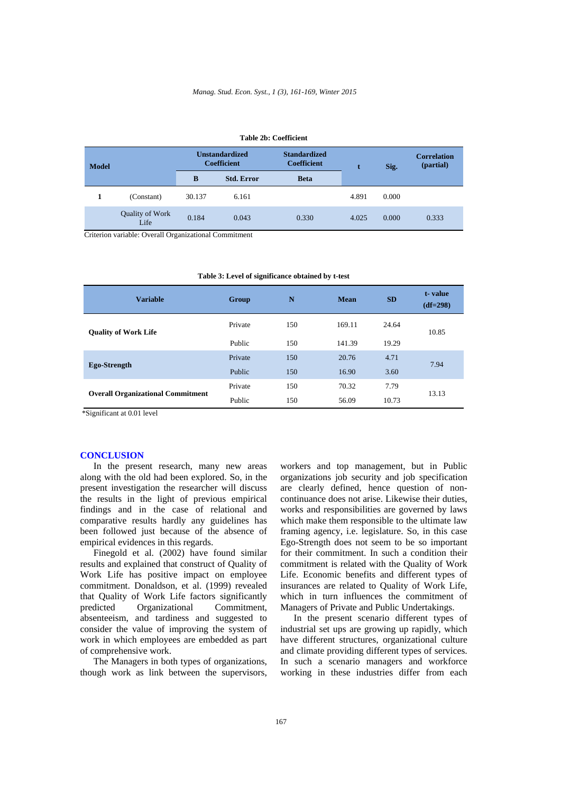| таріе 40; Соепісіені |                         |                                             |                   |                                           |       |       |                                 |  |
|----------------------|-------------------------|---------------------------------------------|-------------------|-------------------------------------------|-------|-------|---------------------------------|--|
| <b>Model</b>         |                         | <b>Unstandardized</b><br><b>Coefficient</b> |                   | <b>Standardized</b><br><b>Coefficient</b> |       | Sig.  | <b>Correlation</b><br>(partial) |  |
|                      |                         | B                                           | <b>Std. Error</b> | <b>Beta</b>                               |       |       |                                 |  |
|                      | (Constant)              | 30.137                                      | 6.161             |                                           | 4.891 | 0.000 |                                 |  |
|                      | Quality of Work<br>Life | 0.184                                       | 0.043             | 0.330                                     | 4.025 | 0.000 | 0.333                           |  |

**Table 2b: Coefficient** 

Criterion variable: Overall Organizational Commitment

| <b>Variable</b>                          | Group   | N   | <b>Mean</b> | <b>SD</b> | t-value<br>$(df=298)$ |
|------------------------------------------|---------|-----|-------------|-----------|-----------------------|
| <b>Quality of Work Life</b>              | Private | 150 | 169.11      | 24.64     | 10.85                 |
|                                          | Public  | 150 | 141.39      | 19.29     |                       |
|                                          | Private | 150 | 20.76       | 4.71      | 7.94                  |
| Ego-Strength                             | Public  | 150 | 16.90       | 3.60      |                       |
| <b>Overall Organizational Commitment</b> | Private | 150 | 70.32       | 7.79      | 13.13                 |
|                                          | Public  | 150 | 56.09       | 10.73     |                       |

**Table 3: Level of significance obtained by t-test** 

\*Significant at 0.01 level

## **CONCLUSION**

In the present research, many new areas along with the old had been explored. So, in the present investigation the researcher will discuss the results in the light of previous empirical findings and in the case of relational and comparative results hardly any guidelines has been followed just because of the absence of empirical evidences in this regards.

Finegold et al. (2002) have found similar results and explained that construct of Quality of Work Life has positive impact on employee commitment. Donaldson, et al. (1999) revealed that Quality of Work Life factors significantly predicted Organizational Commitment, absenteeism, and tardiness and suggested to consider the value of improving the system of work in which employees are embedded as part of comprehensive work.

The Managers in both types of organizations, though work as link between the supervisors,

workers and top management, but in Public organizations job security and job specification are clearly defined, hence question of noncontinuance does not arise. Likewise their duties, works and responsibilities are governed by laws which make them responsible to the ultimate law framing agency, i.e. legislature. So, in this case Ego-Strength does not seem to be so important for their commitment. In such a condition their commitment is related with the Quality of Work Life. Economic benefits and different types of insurances are related to Quality of Work Life, which in turn influences the commitment of Managers of Private and Public Undertakings.

In the present scenario different types of industrial set ups are growing up rapidly, which have different structures, organizational culture and climate providing different types of services. In such a scenario managers and workforce working in these industries differ from each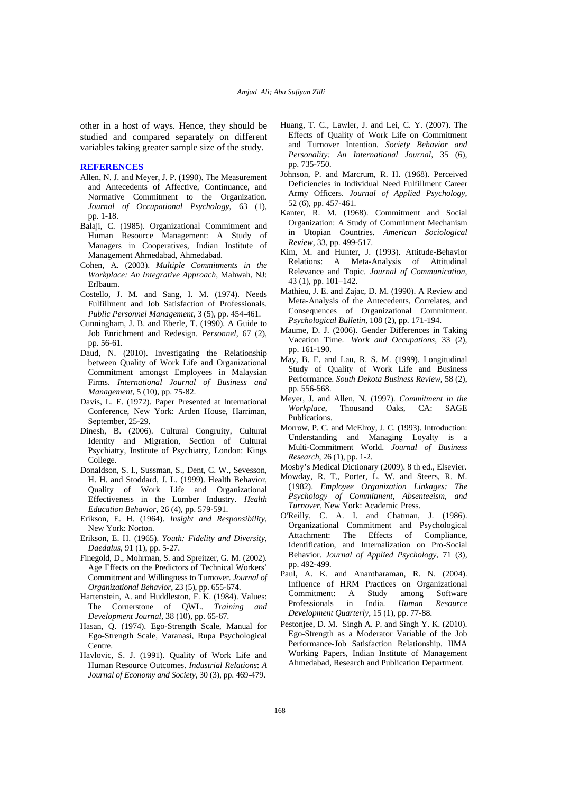other in a host of ways. Hence, they should be studied and compared separately on different variables taking greater sample size of the study.

## **REFERENCES**

- Allen, N. J. and Meyer, J. P. (1990). The Measurement and Antecedents of Affective, Continuance, and Normative Commitment to the Organization. *Journal of Occupational Psychology*, 63 (1), pp. 1-18.
- Balaji, C. (1985). Organizational Commitment and Human Resource Management: A Study of Managers in Cooperatives, Indian Institute of Management Ahmedabad, Ahmedabad*.*
- Cohen, A. (2003). *Multiple Commitments in the Workplace: An Integrative Approach*, Mahwah, NJ: Erlbaum.
- Costello, J. M. and Sang, I. M. (1974). Needs Fulfillment and Job Satisfaction of Professionals. *Public Personnel Management*, 3 (5), pp. 454-461.
- Cunningham, J. B. and Eberle, T. (1990). A Guide to Job Enrichment and Redesign. *Personnel*, 67 (2), pp. 56-61.
- Daud, N. (2010). Investigating the Relationship between Quality of Work Life and Organizational Commitment amongst Employees in Malaysian Firms. *International Journal of Business and Management*, 5 (10), pp. 75-82.
- Davis, L. E. (1972). Paper Presented at International Conference, New York: Arden House, Harriman, September, 25-29.
- Dinesh, B. (2006). Cultural Congruity, Cultural Identity and Migration, Section of Cultural Psychiatry, Institute of Psychiatry, London: Kings College.
- Donaldson, S. I., Sussman, S., Dent, C. W., Sevesson, H. H. and Stoddard, J. L. (1999). Health Behavior, Quality of Work Life and Organizational Effectiveness in the Lumber Industry. *Health Education Behavior*, 26 (4), pp. 579-591.
- Erikson, E. H. (1964). *Insight and Responsibility*, New York: Norton.
- Erikson, E. H. (1965). *Youth: Fidelity and Diversity*, *Daedalus*, 91 (1), pp. 5-27.
- Finegold, D., Mohrman, S. and Spreitzer, G. M. (2002). Age Effects on the Predictors of Technical Workers' Commitment and Willingness to Turnover. *Journal of Organizational Behavior*, 23 (5), pp. 655-674.
- Hartenstein, A. and Huddleston, F. K. (1984). Values: The Cornerstone of QWL. *Training and Development Journal*, 38 (10), pp. 65-67.
- Hasan, Q. (1974). Ego-Strength Scale, Manual for Ego-Strength Scale, Varanasi, Rupa Psychological Centre.
- Havlovic, S. J. (1991). Quality of Work Life and Human Resource Outcomes. *Industrial Relations*: *A Journal of Economy and Society*, 30 (3), pp. 469-479.
- Huang, T. C., Lawler, J. and Lei, C. Y. (2007). The Effects of Quality of Work Life on Commitment and Turnover Intention. *Society Behavior and Personality: An International Journal*, 35 (6), pp. 735-750.
- Johnson, P. and Marcrum, R. H. (1968). Perceived Deficiencies in Individual Need Fulfillment Career Army Officers. *Journal of Applied Psychology*, 52 (6), pp. 457-461.
- Kanter, R. M. (1968). Commitment and Social Organization: A Study of Commitment Mechanism in Utopian Countries. *American Sociological Review*, 33, pp. 499-517.
- Kim, M. and Hunter, J. (1993). Attitude-Behavior Relations: A Meta-Analysis of Attitudinal Relevance and Topic. *Journal of Communication*, 43 (1), pp. 101–142.
- Mathieu, J. E. and Zajac, D. M. (1990). A Review and Meta-Analysis of the Antecedents, Correlates, and Consequences of Organizational Commitment. *Psychological Bulletin*, 108 (2), pp. 171-194.
- Maume, D. J. (2006). Gender Differences in Taking Vacation Time. *Work and Occupations*, 33 (2), pp. 161-190.
- May, B. E. and Lau, R. S. M. (1999). Longitudinal Study of Quality of Work Life and Business Performance. *South Dekota Business Review,* 58 (2), pp. 556-568.
- Meyer, J. and Allen, N. (1997). *Commitment in the Workplace*, Thousand Oaks, CA: SAGE Publications.
- Morrow, P. C. and McElroy, J. C. (1993). Introduction: Understanding and Managing Loyalty is a Multi-Commitment World. *Journal of Business Research*, 26 (1), pp. 1-2.
- Mosby's Medical Dictionary (2009). 8 th ed., Elsevier.
- Mowday, R. T., Porter, L. W. and Steers, R. M. (1982). *Employee Organization Linkages: The Psychology of Commitment, Absenteeism, and Turnover*, New York: Academic Press.
- O'Reilly, C. A. I. and Chatman, J. (1986). Organizational Commitment and Psychological Attachment: The Effects of Identification, and Internalization on Pro-Social Behavior. *Journal of Applied Psychology*, 71 (3), pp. 492-499.
- Paul, A. K. and Anantharaman, R. N. (2004). Influence of HRM Practices on Organizational Commitment: A Study among Software Professionals in India. *Human Resource Development Quarterly*, 15 (1), pp. 77-88.
- Pestonjee, D. M. Singh A. P. and Singh Y. K. (2010). Ego-Strength as a Moderator Variable of the Job Performance-Job Satisfaction Relationship. IIMA Working Papers, Indian Institute of Management Ahmedabad, Research and Publication Department.